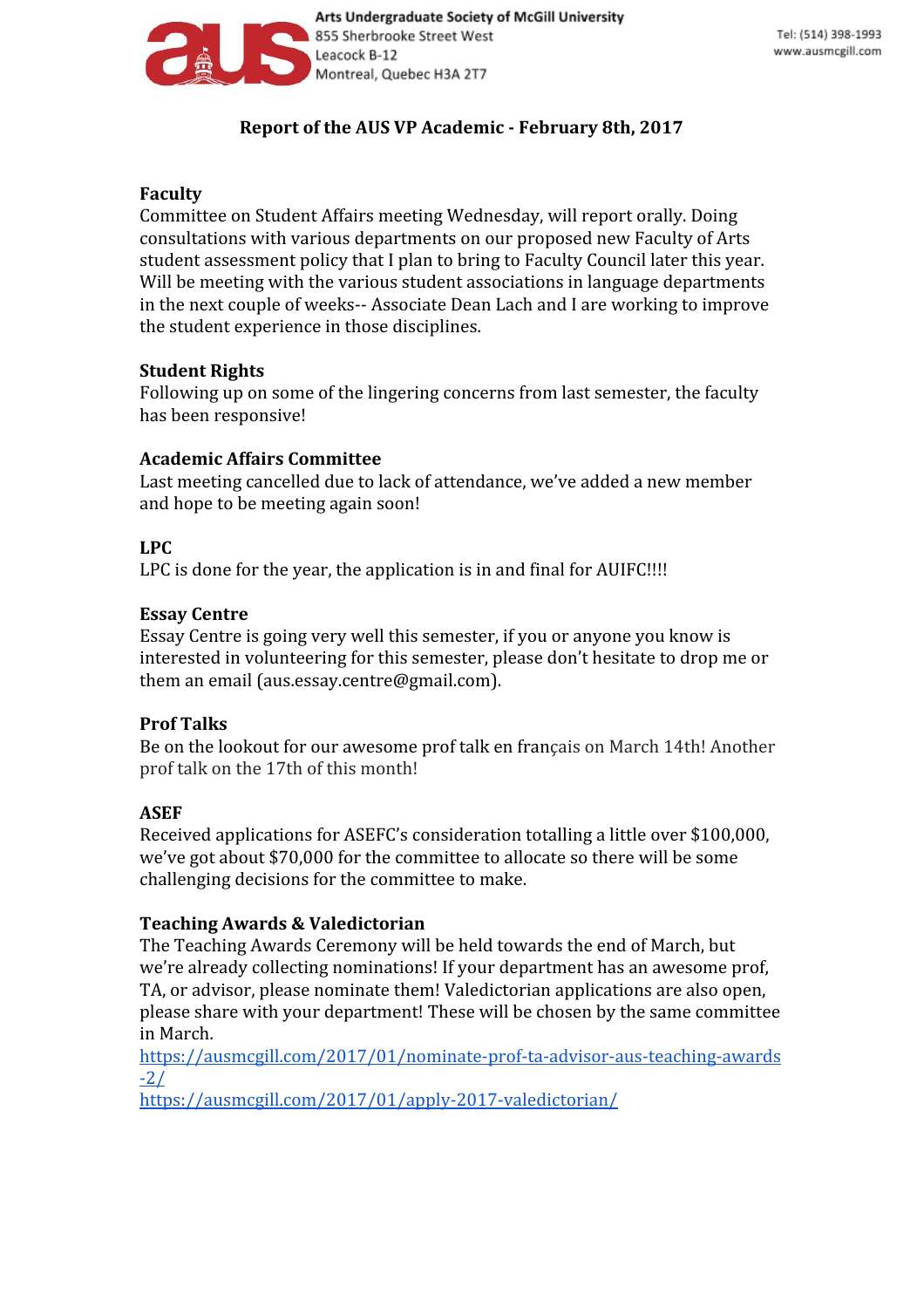

# **Report of the AUS VP Academic - February 8th, 2017**

## **Faculty**

Committee on Student Affairs meeting Wednesday, will report orally. Doing consultations with various departments on our proposed new Faculty of Arts student assessment policy that I plan to bring to Faculty Council later this year. Will be meeting with the various student associations in language departments in the next couple of weeks-- Associate Dean Lach and I are working to improve the student experience in those disciplines.

## **Student Rights**

Following up on some of the lingering concerns from last semester, the faculty has been responsive!

## **Academic Affairs Committee**

Last meeting cancelled due to lack of attendance, we've added a new member and hope to be meeting again soon!

## **LPC**

LPC is done for the year, the application is in and final for AUIFC!!!!

## **Essay Centre**

Essay Centre is going very well this semester, if you or anyone you know is interested in volunteering for this semester, please don't hesitate to drop me or them an email (aus.essay.centre@gmail.com).

## **Prof Talks**

Be on the lookout for our awesome prof talk en français on March 14th! Another prof talk on the 17th of this month!

## **ASEF**

Received applications for ASEFC's consideration totalling a little over \$100,000, we've got about \$70,000 for the committee to allocate so there will be some challenging decisions for the committee to make.

# **Teaching Awards & Valedictorian**

The Teaching Awards Ceremony will be held towards the end of March, but we're already collecting nominations! If your department has an awesome prof, TA, or advisor, please nominate them! Valedictorian applications are also open, please share with your department! These will be chosen by the same committee in March.

[https://ausmcgill.com/2017/01/nominate-prof-ta-advisor-aus-teaching-awards](https://ausmcgill.com/2017/01/nominate-prof-ta-advisor-aus-teaching-awards-2/) [-2/](https://ausmcgill.com/2017/01/nominate-prof-ta-advisor-aus-teaching-awards-2/)

<https://ausmcgill.com/2017/01/apply-2017-valedictorian/>